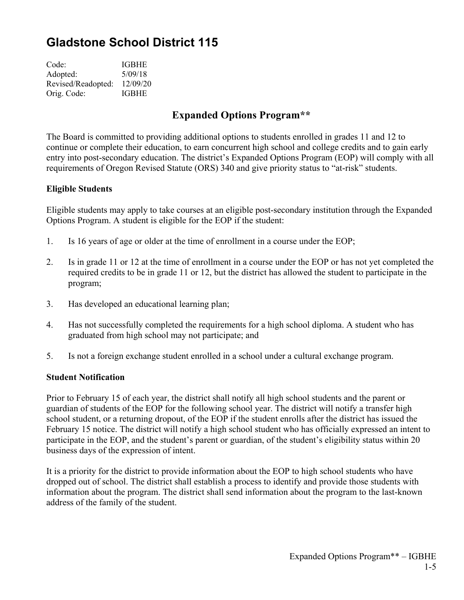# **Gladstone School District 115**

| Code:              | <b>IGBHE</b> |
|--------------------|--------------|
| Adopted:           | 5/09/18      |
| Revised/Readopted: | 12/09/20     |
| Orig. Code:        | <b>IGBHE</b> |

## **Expanded Options Program\*\***

The Board is committed to providing additional options to students enrolled in grades 11 and 12 to continue or complete their education, to earn concurrent high school and college credits and to gain early entry into post-secondary education. The district's Expanded Options Program (EOP) will comply with all requirements of Oregon Revised Statute (ORS) 340 and give priority status to "at-risk" students.

#### **Eligible Students**

Eligible students may apply to take courses at an eligible post-secondary institution through the Expanded Options Program. A student is eligible for the EOP if the student:

- 1. Is 16 years of age or older at the time of enrollment in a course under the EOP;
- 2. Is in grade 11 or 12 at the time of enrollment in a course under the EOP or has not yet completed the required credits to be in grade 11 or 12, but the district has allowed the student to participate in the program;
- 3. Has developed an educational learning plan;
- 4. Has not successfully completed the requirements for a high school diploma. A student who has graduated from high school may not participate; and
- 5. Is not a foreign exchange student enrolled in a school under a cultural exchange program.

#### **Student Notification**

Prior to February 15 of each year, the district shall notify all high school students and the parent or guardian of students of the EOP for the following school year. The district will notify a transfer high school student, or a returning dropout, of the EOP if the student enrolls after the district has issued the February 15 notice. The district will notify a high school student who has officially expressed an intent to participate in the EOP, and the student's parent or guardian, of the student's eligibility status within 20 business days of the expression of intent.

It is a priority for the district to provide information about the EOP to high school students who have dropped out of school. The district shall establish a process to identify and provide those students with information about the program. The district shall send information about the program to the last-known address of the family of the student.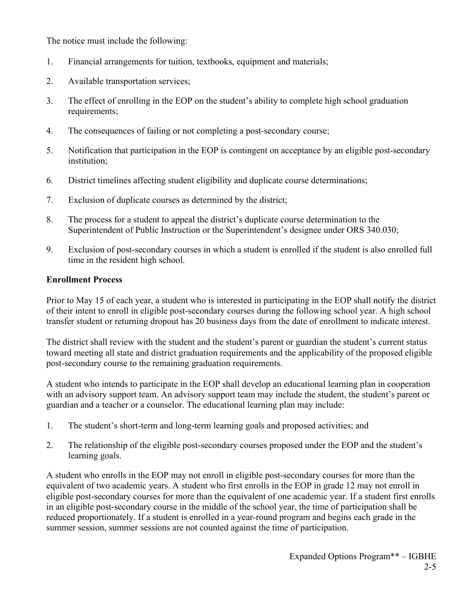The notice must include the following:

- 1. Financial arrangements for tuition, textbooks, equipment and materials;
- 2. Available transportation services;
- 3. The effect of enrolling in the EOP on the student's ability to complete high school graduation requirements;
- 4. The consequences of failing or not completing a post-secondary course;
- 5. Notification that participation in the EOP is contingent on acceptance by an eligible post-secondary institution;
- 6. District timelines affecting student eligibility and duplicate course determinations;
- 7. Exclusion of duplicate courses as determined by the district;
- 8. The process for a student to appeal the district's duplicate course determination to the Superintendent of Public Instruction or the Superintendent's designee under ORS 340.030;
- 9. Exclusion of post-secondary courses in which a student is enrolled if the student is also enrolled full time in the resident high school.

### **Enrollment Process**

Prior to May 15 of each year, a student who is interested in participating in the EOP shall notify the district of their intent to enroll in eligible post-secondary courses during the following school year. A high school transfer student or returning dropout has 20 business days from the date of enrollment to indicate interest.

The district shall review with the student and the student's parent or guardian the student's current status toward meeting all state and district graduation requirements and the applicability of the proposed eligible post-secondary course to the remaining graduation requirements.

A student who intends to participate in the EOP shall develop an educational learning plan in cooperation with an advisory support team. An advisory support team may include the student, the student's parent or guardian and a teacher or a counselor. The educational learning plan may include:

- 1. The student's short-term and long-term learning goals and proposed activities; and
- 2. The relationship of the eligible post-secondary courses proposed under the EOP and the student's learning goals.

A student who enrolls in the EOP may not enroll in eligible post-secondary courses for more than the equivalent of two academic years. A student who first enrolls in the EOP in grade 12 may not enroll in eligible post-secondary courses for more than the equivalent of one academic year. If a student first enrolls in an eligible post-secondary course in the middle of the school year, the time of participation shall be reduced proportionately. If a student is enrolled in a year-round program and begins each grade in the summer session, summer sessions are not counted against the time of participation.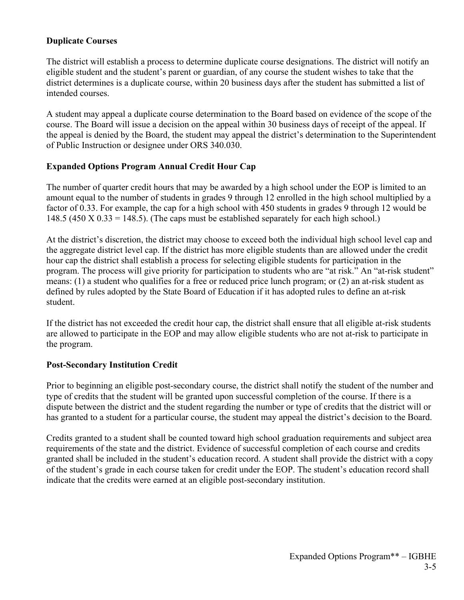#### **Duplicate Courses**

The district will establish a process to determine duplicate course designations. The district will notify an eligible student and the student's parent or guardian, of any course the student wishes to take that the district determines is a duplicate course, within 20 business days after the student has submitted a list of intended courses.

A student may appeal a duplicate course determination to the Board based on evidence of the scope of the course. The Board will issue a decision on the appeal within 30 business days of receipt of the appeal. If the appeal is denied by the Board, the student may appeal the district's determination to the Superintendent of Public Instruction or designee under ORS 340.030.

### **Expanded Options Program Annual Credit Hour Cap**

The number of quarter credit hours that may be awarded by a high school under the EOP is limited to an amount equal to the number of students in grades 9 through 12 enrolled in the high school multiplied by a factor of 0.33. For example, the cap for a high school with 450 students in grades 9 through 12 would be 148.5 (450 X  $0.33 = 148.5$ ). (The caps must be established separately for each high school.)

At the district's discretion, the district may choose to exceed both the individual high school level cap and the aggregate district level cap. If the district has more eligible students than are allowed under the credit hour cap the district shall establish a process for selecting eligible students for participation in the program. The process will give priority for participation to students who are "at risk." An "at-risk student" means: (1) a student who qualifies for a free or reduced price lunch program; or (2) an at-risk student as defined by rules adopted by the State Board of Education if it has adopted rules to define an at-risk student.

If the district has not exceeded the credit hour cap, the district shall ensure that all eligible at-risk students are allowed to participate in the EOP and may allow eligible students who are not at-risk to participate in the program.

## **Post-Secondary Institution Credit**

Prior to beginning an eligible post-secondary course, the district shall notify the student of the number and type of credits that the student will be granted upon successful completion of the course. If there is a dispute between the district and the student regarding the number or type of credits that the district will or has granted to a student for a particular course, the student may appeal the district's decision to the Board.

Credits granted to a student shall be counted toward high school graduation requirements and subject area requirements of the state and the district. Evidence of successful completion of each course and credits granted shall be included in the student's education record. A student shall provide the district with a copy of the student's grade in each course taken for credit under the EOP. The student's education record shall indicate that the credits were earned at an eligible post-secondary institution.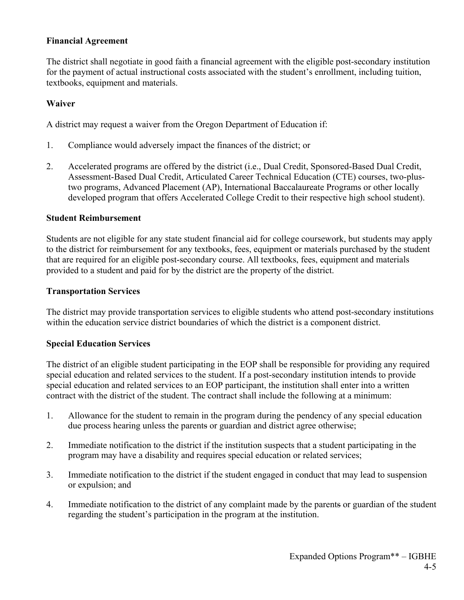#### **Financial Agreement**

The district shall negotiate in good faith a financial agreement with the eligible post-secondary institution for the payment of actual instructional costs associated with the student's enrollment, including tuition, textbooks, equipment and materials.

#### **Waiver**

A district may request a waiver from the Oregon Department of Education if:

- 1. Compliance would adversely impact the finances of the district; or
- 2. Accelerated programs are offered by the district (i.e., Dual Credit, Sponsored-Based Dual Credit, Assessment-Based Dual Credit, Articulated Career Technical Education (CTE) courses, two-plustwo programs, Advanced Placement (AP), International Baccalaureate Programs or other locally developed program that offers Accelerated College Credit to their respective high school student).

#### **Student Reimbursement**

Students are not eligible for any state student financial aid for college coursework, but students may apply to the district for reimbursement for any textbooks, fees, equipment or materials purchased by the student that are required for an eligible post-secondary course. All textbooks, fees, equipment and materials provided to a student and paid for by the district are the property of the district.

#### **Transportation Services**

The district may provide transportation services to eligible students who attend post-secondary institutions within the education service district boundaries of which the district is a component district.

## **Special Education Services**

The district of an eligible student participating in the EOP shall be responsible for providing any required special education and related services to the student. If a post-secondary institution intends to provide special education and related services to an EOP participant, the institution shall enter into a written contract with the district of the student. The contract shall include the following at a minimum:

- 1. Allowance for the student to remain in the program during the pendency of any special education due process hearing unless the parents or guardian and district agree otherwise;
- 2. Immediate notification to the district if the institution suspects that a student participating in the program may have a disability and requires special education or related services;
- 3. Immediate notification to the district if the student engaged in conduct that may lead to suspension or expulsion; and
- 4. Immediate notification to the district of any complaint made by the parents or guardian of the student regarding the student's participation in the program at the institution.